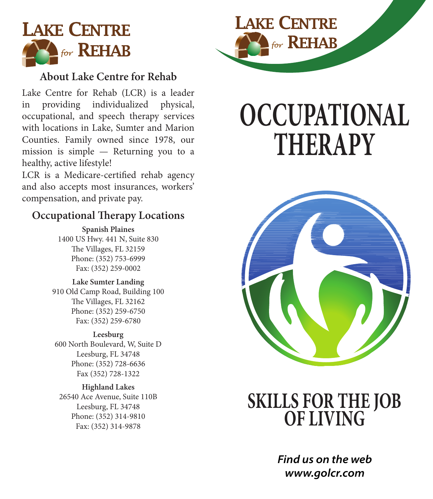

#### **About Lake Centre for Rehab**

Lake Centre for Rehab (LCR) is a leader in providing individualized physical, occupational, and speech therapy services with locations in Lake, Sumter and Marion Counties. Family owned since 1978, our mission is simple — Returning you to a healthy, active lifestyle!

LCR is a Medicare-certified rehab agency and also accepts most insurances, workers' compensation, and private pay.

#### **Occupational Therapy Locations**

**Spanish Plaines** 1400 US Hwy. 441 N, Suite 830 The Villages, FL 32159 Phone: (352) 753-6999 Fax: (352) 259-0002

**Lake Sumter Landing** 910 Old Camp Road, Building 100 The Villages, FL 32162 Phone: (352) 259-6750 Fax: (352) 259-6780

**Leesburg** 600 North Boulevard, W, Suite D Leesburg, FL 34748 Phone: (352) 728-6636 Fax (352) 728-1322

**Highland Lakes** 26540 Ace Avenue, Suite 110B Leesburg, FL 34748 Phone: (352) 314-9810 Fax: (352) 314-9878



# **OCCUPATIONAL THERAPY**



# **SKILLS FOR THE JOB OF LIVING**

*Find us on the web www.golcr.com*